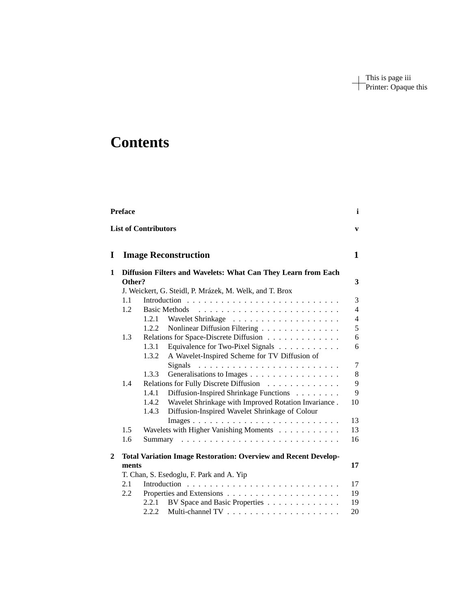This is page iii Printer: Opaque this

## **Contents**

|              | <b>Preface</b> |                             |                                                                        | i              |
|--------------|----------------|-----------------------------|------------------------------------------------------------------------|----------------|
|              |                | <b>List of Contributors</b> |                                                                        | $\mathbf{v}$   |
| I            |                |                             | <b>Image Reconstruction</b>                                            | $\mathbf{1}$   |
| 1            | Other?         |                             | Diffusion Filters and Wavelets: What Can They Learn from Each          | 3              |
|              |                |                             | J. Weickert, G. Steidl, P. Mrázek, M. Welk, and T. Brox                |                |
|              | 1.1            |                             |                                                                        | 3              |
|              | 1.2            |                             |                                                                        | $\overline{4}$ |
|              |                | 1.2.1                       |                                                                        | $\overline{4}$ |
|              |                | 1.2.2                       | Nonlinear Diffusion Filtering                                          | 5              |
|              | 1.3            |                             | Relations for Space-Discrete Diffusion                                 | 6              |
|              |                | 1.3.1                       | Equivalence for Two-Pixel Signals                                      | 6              |
|              |                | 1.3.2                       | A Wavelet-Inspired Scheme for TV Diffusion of                          |                |
|              |                |                             | Signals                                                                | $\overline{7}$ |
|              |                | 1.3.3                       | Generalisations to Images                                              | 8              |
|              | 1.4            |                             | Relations for Fully Discrete Diffusion                                 | 9              |
|              |                | 1.4.1                       | Diffusion-Inspired Shrinkage Functions                                 | 9              |
|              |                | 1.4.2                       | Wavelet Shrinkage with Improved Rotation Invariance.                   | 10             |
|              |                | 1.4.3                       | Diffusion-Inspired Wavelet Shrinkage of Colour                         |                |
|              |                |                             |                                                                        | 13             |
|              | 1.5<br>1.6     |                             | Wavelets with Higher Vanishing Moments                                 | 13<br>16       |
|              |                |                             |                                                                        |                |
| $\mathbf{2}$ |                |                             | <b>Total Variation Image Restoration: Overview and Recent Develop-</b> |                |
|              | ments          |                             |                                                                        | 17             |
|              |                |                             | T. Chan, S. Esedoglu, F. Park and A. Yip                               |                |
|              | 2.1            |                             |                                                                        | 17             |
|              | 2.2            |                             |                                                                        | 19             |
|              |                | 2.2.1                       | BV Space and Basic Properties                                          | 19             |
|              |                | 2.2.2                       |                                                                        | 20             |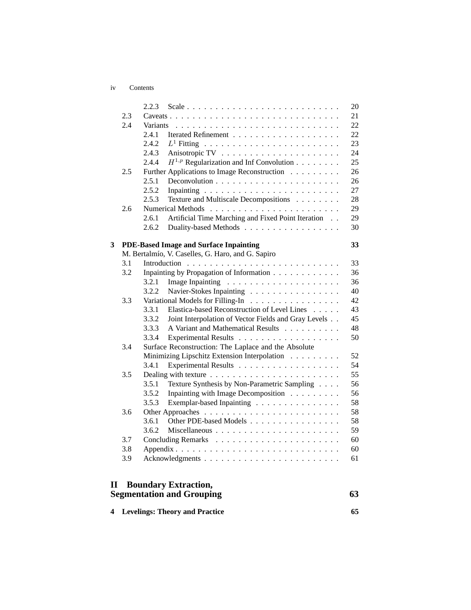iv Contents

|   |     | 2.2.3                                                           | 20 |
|---|-----|-----------------------------------------------------------------|----|
|   | 2.3 |                                                                 | 21 |
|   | 2.4 | Variants                                                        | 22 |
|   |     | 2.4.1                                                           | 22 |
|   |     | 2.4.2                                                           | 23 |
|   |     | 2.4.3                                                           | 24 |
|   |     | 2.4.4<br>$H^{1,p}$ Regularization and Inf Convolution           | 25 |
|   | 2.5 | Further Applications to Image Reconstruction                    | 26 |
|   |     | 2.5.1                                                           | 26 |
|   |     | 2.5.2                                                           | 27 |
|   |     | 2.5.3<br>Texture and Multiscale Decompositions                  | 28 |
|   | 2.6 |                                                                 | 29 |
|   |     | Artificial Time Marching and Fixed Point Iteration<br>2.6.1     | 29 |
|   |     | 2.6.2<br>Duality-based Methods                                  | 30 |
| 3 |     | <b>PDE-Based Image and Surface Inpainting</b>                   | 33 |
|   |     | M. Bertalmío, V. Caselles, G. Haro, and G. Sapiro               |    |
|   | 3.1 |                                                                 | 33 |
|   | 3.2 | Inpainting by Propagation of Information                        | 36 |
|   |     | 3.2.1                                                           | 36 |
|   |     | 3.2.2<br>Navier-Stokes Inpainting                               | 40 |
|   | 3.3 | Variational Models for Filling-In                               | 42 |
|   |     | 3.3.1<br>Elastica-based Reconstruction of Level Lines           | 43 |
|   |     | 3.3.2<br>Joint Interpolation of Vector Fields and Gray Levels   | 45 |
|   |     | A Variant and Mathematical Results<br>3.3.3                     | 48 |
|   |     | 3.3.4<br>Experimental Results                                   | 50 |
|   | 3.4 | Surface Reconstruction: The Laplace and the Absolute            |    |
|   |     | Minimizing Lipschitz Extension Interpolation                    | 52 |
|   |     | 3.4.1                                                           | 54 |
|   | 3.5 |                                                                 | 55 |
|   |     | 3.5.1<br>Texture Synthesis by Non-Parametric Sampling           | 56 |
|   |     | 3.5.2<br>Inpainting with Image Decomposition                    | 56 |
|   |     | Exemplar-based Inpainting<br>3.5.3                              | 58 |
|   | 3.6 |                                                                 | 58 |
|   |     | 3.6.1<br>Other PDE-based Models                                 | 58 |
|   |     | 3.6.2                                                           | 59 |
|   | 3.7 |                                                                 | 60 |
|   | 3.8 |                                                                 | 60 |
|   | 3.9 |                                                                 | 61 |
|   |     |                                                                 |    |
| П |     | <b>Boundary Extraction,</b><br><b>Segmentation and Grouping</b> | 63 |

|  | 65                               |
|--|----------------------------------|
|  | 4 Levelings: Theory and Practice |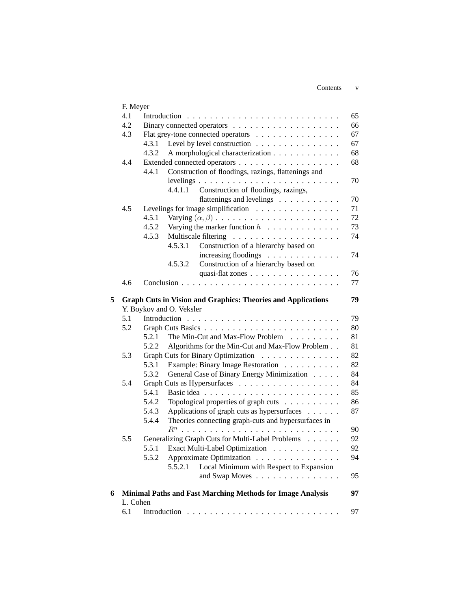Contents v

|   | F. Meyer |                                                                     |    |
|---|----------|---------------------------------------------------------------------|----|
|   | 4.1      | Introduction                                                        | 65 |
|   | 4.2      |                                                                     | 66 |
|   | 4.3      | Flat grey-tone connected operators                                  | 67 |
|   |          | Level by level construction<br>4.3.1                                | 67 |
|   |          | 4.3.2<br>A morphological characterization                           | 68 |
|   | 4.4      |                                                                     | 68 |
|   |          | Construction of floodings, razings, flattenings and<br>4.4.1        |    |
|   |          |                                                                     | 70 |
|   |          | 4.4.1.1<br>Construction of floodings, razings,                      |    |
|   |          | flattenings and levelings                                           | 70 |
|   | 4.5      | Levelings for image simplification                                  | 71 |
|   |          | 4.5.1                                                               | 72 |
|   |          | 4.5.2<br>Varying the marker function $h \dots \dots \dots \dots$    | 73 |
|   |          | 4.5.3                                                               | 74 |
|   |          | 4.5.3.1<br>Construction of a hierarchy based on                     |    |
|   |          | increasing floodings                                                | 74 |
|   |          | Construction of a hierarchy based on<br>4.5.3.2                     |    |
|   |          | quasi-flat zones                                                    | 76 |
|   | 4.6      |                                                                     | 77 |
|   |          |                                                                     |    |
| 5 |          | <b>Graph Cuts in Vision and Graphics: Theories and Applications</b> | 79 |
|   |          | Y. Boykov and O. Veksler                                            |    |
|   | 5.1      |                                                                     | 79 |
|   | 5.2      |                                                                     | 80 |
|   |          | 5.2.1<br>The Min-Cut and Max-Flow Problem                           | 81 |
|   |          | 5.2.2<br>Algorithms for the Min-Cut and Max-Flow Problem            | 81 |
|   | 5.3      | Graph Cuts for Binary Optimization                                  | 82 |
|   |          | 5.3.1<br>Example: Binary Image Restoration                          | 82 |
|   |          | 5.3.2<br>General Case of Binary Energy Minimization                 | 84 |
|   | 5.4      |                                                                     | 84 |
|   |          | 5.4.1                                                               | 85 |
|   |          | 5.4.2<br>Topological properties of graph cuts                       | 86 |
|   |          | Applications of graph cuts as hypersurfaces<br>5.4.3                | 87 |
|   |          | Theories connecting graph-cuts and hypersurfaces in<br>5.4.4        |    |
|   |          |                                                                     | 90 |
|   | 5.5      | Generalizing Graph Cuts for Multi-Label Problems                    | 92 |
|   |          | 5.5.1 Exact Multi-Label Optimization                                | 92 |
|   |          | Approximate Optimization<br>5.5.2                                   | 94 |
|   |          | Local Minimum with Respect to Expansion<br>5.5.2.1                  |    |
|   |          | and Swap Moves                                                      | 95 |
|   |          |                                                                     |    |
| 6 |          | Minimal Paths and Fast Marching Methods for Image Analysis          | 97 |
|   | L. Cohen |                                                                     |    |
|   | 6.1      |                                                                     | 97 |
|   |          |                                                                     |    |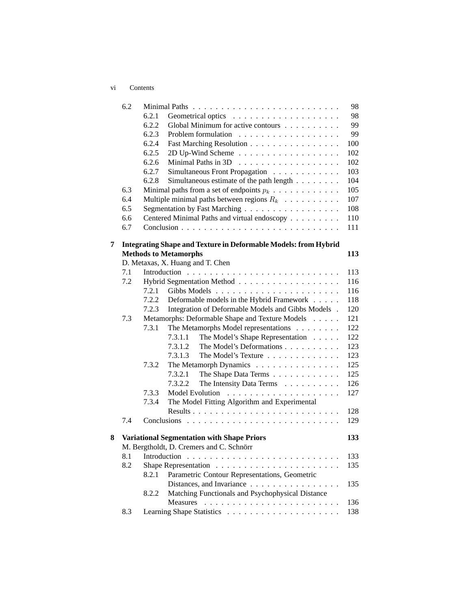|   | 6.2 |       |                                                                 | 98  |
|---|-----|-------|-----------------------------------------------------------------|-----|
|   |     | 6.2.1 |                                                                 | 98  |
|   |     | 6.2.2 | Global Minimum for active contours                              | 99  |
|   |     | 6.2.3 |                                                                 | 99  |
|   |     | 6.2.4 | Fast Marching Resolution                                        | 100 |
|   |     | 6.2.5 | 2D Up-Wind Scheme                                               | 102 |
|   |     | 6.2.6 |                                                                 | 102 |
|   |     | 6.2.7 | Simultaneous Front Propagation                                  | 103 |
|   |     | 6.2.8 | Simultaneous estimate of the path length                        | 104 |
|   | 6.3 |       | Minimal paths from a set of endpoints $p_k$                     | 105 |
|   | 6.4 |       | Multiple minimal paths between regions $R_k$                    | 107 |
|   | 6.5 |       | Segmentation by Fast Marching                                   | 108 |
|   | 6.6 |       | Centered Minimal Paths and virtual endoscopy                    | 110 |
|   | 6.7 |       |                                                                 | 111 |
| 7 |     |       | Integrating Shape and Texture in Deformable Models: from Hybrid |     |
|   |     |       | <b>Methods to Metamorphs</b>                                    | 113 |
|   |     |       | D. Metaxas, X. Huang and T. Chen                                |     |
|   | 7.1 |       |                                                                 | 113 |
|   | 7.2 |       |                                                                 | 116 |
|   |     | 7.2.1 |                                                                 | 116 |
|   |     | 7.2.2 | Deformable models in the Hybrid Framework                       | 118 |
|   |     | 7.2.3 | Integration of Deformable Models and Gibbs Models.              | 120 |
|   | 7.3 |       | Metamorphs: Deformable Shape and Texture Models                 | 121 |
|   |     | 7.3.1 | The Metamorphs Model representations                            | 122 |
|   |     |       | 7.3.1.1<br>The Model's Shape Representation                     | 122 |
|   |     |       | 7.3.1.2<br>The Model's Deformations                             | 123 |
|   |     |       | 7.3.1.3<br>The Model's Texture                                  | 123 |
|   |     | 7.3.2 | The Metamorph Dynamics                                          | 125 |
|   |     |       | 7.3.2.1<br>The Shape Data Terms                                 | 125 |
|   |     |       | The Intensity Data Terms<br>7.3.2.2                             | 126 |
|   |     | 7.3.3 |                                                                 | 127 |
|   |     | 7.3.4 | The Model Fitting Algorithm and Experimental                    |     |
|   |     |       |                                                                 | 128 |
|   | 7.4 |       |                                                                 | 129 |
| 8 |     |       | <b>Variational Segmentation with Shape Priors</b>               | 133 |
|   |     |       | M. Bergtholdt, D. Cremers and C. Schnörr                        |     |
|   | 8.1 |       |                                                                 | 133 |
|   | 8.2 |       |                                                                 | 135 |
|   |     | 8.2.1 | Parametric Contour Representations, Geometric                   |     |
|   |     |       | Distances, and Invariance                                       | 135 |
|   |     | 8.2.2 | Matching Functionals and Psychophysical Distance                |     |
|   |     |       |                                                                 | 136 |
|   | 8.3 |       |                                                                 | 138 |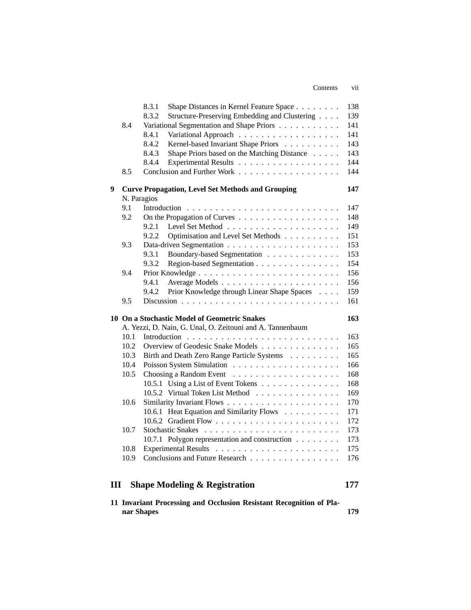|      | 8.3.1<br>Shape Distances in Kernel Feature Space       | 138                                                                                                                                                                                                                                                                                                                                                                                                                                                                                                                                                                                                                                                                   |
|------|--------------------------------------------------------|-----------------------------------------------------------------------------------------------------------------------------------------------------------------------------------------------------------------------------------------------------------------------------------------------------------------------------------------------------------------------------------------------------------------------------------------------------------------------------------------------------------------------------------------------------------------------------------------------------------------------------------------------------------------------|
|      | 8.3.2<br>Structure-Preserving Embedding and Clustering | 139                                                                                                                                                                                                                                                                                                                                                                                                                                                                                                                                                                                                                                                                   |
| 8.4  | Variational Segmentation and Shape Priors              | 141                                                                                                                                                                                                                                                                                                                                                                                                                                                                                                                                                                                                                                                                   |
|      | 8.4.1                                                  | 141                                                                                                                                                                                                                                                                                                                                                                                                                                                                                                                                                                                                                                                                   |
|      | 8.4.2<br>Kernel-based Invariant Shape Priors           | 143                                                                                                                                                                                                                                                                                                                                                                                                                                                                                                                                                                                                                                                                   |
|      | 8.4.3                                                  | 143                                                                                                                                                                                                                                                                                                                                                                                                                                                                                                                                                                                                                                                                   |
|      | 8.4.4                                                  | 144                                                                                                                                                                                                                                                                                                                                                                                                                                                                                                                                                                                                                                                                   |
| 8.5  |                                                        | 144                                                                                                                                                                                                                                                                                                                                                                                                                                                                                                                                                                                                                                                                   |
|      |                                                        | 147                                                                                                                                                                                                                                                                                                                                                                                                                                                                                                                                                                                                                                                                   |
|      |                                                        | 147                                                                                                                                                                                                                                                                                                                                                                                                                                                                                                                                                                                                                                                                   |
|      |                                                        | 148                                                                                                                                                                                                                                                                                                                                                                                                                                                                                                                                                                                                                                                                   |
|      |                                                        | 149                                                                                                                                                                                                                                                                                                                                                                                                                                                                                                                                                                                                                                                                   |
|      |                                                        | 151                                                                                                                                                                                                                                                                                                                                                                                                                                                                                                                                                                                                                                                                   |
|      |                                                        | 153                                                                                                                                                                                                                                                                                                                                                                                                                                                                                                                                                                                                                                                                   |
|      |                                                        | 153                                                                                                                                                                                                                                                                                                                                                                                                                                                                                                                                                                                                                                                                   |
|      |                                                        | 154                                                                                                                                                                                                                                                                                                                                                                                                                                                                                                                                                                                                                                                                   |
|      |                                                        | 156                                                                                                                                                                                                                                                                                                                                                                                                                                                                                                                                                                                                                                                                   |
|      |                                                        | 156                                                                                                                                                                                                                                                                                                                                                                                                                                                                                                                                                                                                                                                                   |
|      |                                                        | 159                                                                                                                                                                                                                                                                                                                                                                                                                                                                                                                                                                                                                                                                   |
| 9.5  |                                                        | 161                                                                                                                                                                                                                                                                                                                                                                                                                                                                                                                                                                                                                                                                   |
|      |                                                        | 163                                                                                                                                                                                                                                                                                                                                                                                                                                                                                                                                                                                                                                                                   |
|      |                                                        |                                                                                                                                                                                                                                                                                                                                                                                                                                                                                                                                                                                                                                                                       |
| 10.1 |                                                        | 163                                                                                                                                                                                                                                                                                                                                                                                                                                                                                                                                                                                                                                                                   |
|      |                                                        | 165                                                                                                                                                                                                                                                                                                                                                                                                                                                                                                                                                                                                                                                                   |
|      |                                                        | 165                                                                                                                                                                                                                                                                                                                                                                                                                                                                                                                                                                                                                                                                   |
| 10.4 |                                                        | 166                                                                                                                                                                                                                                                                                                                                                                                                                                                                                                                                                                                                                                                                   |
| 10.5 |                                                        | 168                                                                                                                                                                                                                                                                                                                                                                                                                                                                                                                                                                                                                                                                   |
|      |                                                        | 168                                                                                                                                                                                                                                                                                                                                                                                                                                                                                                                                                                                                                                                                   |
|      |                                                        | 169                                                                                                                                                                                                                                                                                                                                                                                                                                                                                                                                                                                                                                                                   |
| 10.6 |                                                        | 170                                                                                                                                                                                                                                                                                                                                                                                                                                                                                                                                                                                                                                                                   |
|      | 10.6.1 Heat Equation and Similarity Flows              | 171                                                                                                                                                                                                                                                                                                                                                                                                                                                                                                                                                                                                                                                                   |
|      |                                                        | 172                                                                                                                                                                                                                                                                                                                                                                                                                                                                                                                                                                                                                                                                   |
| 10.7 |                                                        | 173                                                                                                                                                                                                                                                                                                                                                                                                                                                                                                                                                                                                                                                                   |
|      | 10.7.1 Polygon representation and construction         | 173                                                                                                                                                                                                                                                                                                                                                                                                                                                                                                                                                                                                                                                                   |
| 10.8 |                                                        | 175                                                                                                                                                                                                                                                                                                                                                                                                                                                                                                                                                                                                                                                                   |
| 10.9 | Conclusions and Future Research                        | 176                                                                                                                                                                                                                                                                                                                                                                                                                                                                                                                                                                                                                                                                   |
|      |                                                        |                                                                                                                                                                                                                                                                                                                                                                                                                                                                                                                                                                                                                                                                       |
| III  |                                                        | 177                                                                                                                                                                                                                                                                                                                                                                                                                                                                                                                                                                                                                                                                   |
|      | 9.1<br>9.2<br>9.3<br>9.4<br>10.2<br>10.3               | Shape Priors based on the Matching Distance<br><b>Curve Propagation, Level Set Methods and Grouping</b><br>N. Paragios<br>Introduction<br>9.2.1<br>Optimisation and Level Set Methods<br>9.2.2<br>9.3.1<br>Boundary-based Segmentation<br>9.3.2<br>Region-based Segmentation<br>9.4.1<br>9.4.2<br>Prior Knowledge through Linear Shape Spaces<br>10 On a Stochastic Model of Geometric Snakes<br>A. Yezzi, D. Nain, G. Unal, O. Zeitouni and A. Tannenbaum<br>Overview of Geodesic Snake Models<br>Birth and Death Zero Range Particle Systems<br>10.5.1 Using a List of Event Tokens<br>10.5.2 Virtual Token List Method<br><b>Shape Modeling &amp; Registration</b> |

Contents vii

| 11 Invariant Processing and Occlusion Resistant Recognition of Pla- |  |  |     |
|---------------------------------------------------------------------|--|--|-----|
| nar Shapes                                                          |  |  | 179 |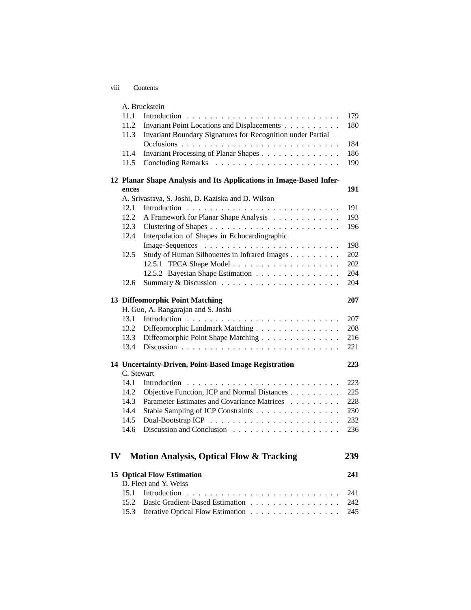| <b>V111</b> | Contents |
|-------------|----------|
|             |          |

|    |            | A. Bruckstein                                                       |     |
|----|------------|---------------------------------------------------------------------|-----|
|    | 11.1       |                                                                     | 179 |
|    | 11.2       | Invariant Point Locations and Displacements                         | 180 |
|    | 11.3       | Invariant Boundary Signatures for Recognition under Partial         |     |
|    |            |                                                                     | 184 |
|    | 11.4       | Invariant Processing of Planar Shapes                               | 186 |
|    | 11.5       |                                                                     | 190 |
|    |            | 12 Planar Shape Analysis and Its Applications in Image-Based Infer- |     |
|    | ences      |                                                                     | 191 |
|    |            | A. Srivastava, S. Joshi, D. Kaziska and D. Wilson                   |     |
|    | 12.1       |                                                                     | 191 |
|    | 12.2       | A Framework for Planar Shape Analysis                               | 193 |
|    | 12.3       |                                                                     | 196 |
|    | 12.4       | Interpolation of Shapes in Echocardiographic                        |     |
|    |            |                                                                     | 198 |
|    | 12.5       | Study of Human Silhouettes in Infrared Images                       | 202 |
|    |            |                                                                     | 202 |
|    |            | 12.5.2 Bayesian Shape Estimation                                    | 204 |
|    | 12.6       |                                                                     | 204 |
|    |            |                                                                     |     |
|    |            | 13 Diffeomorphic Point Matching                                     | 207 |
|    |            | H. Guo, A. Rangarajan and S. Joshi                                  |     |
|    | 13.1       |                                                                     | 207 |
|    | 13.2       | Diffeomorphic Landmark Matching                                     | 208 |
|    | 13.3       | Diffeomorphic Point Shape Matching                                  | 216 |
|    | 13.4       |                                                                     | 221 |
|    |            |                                                                     |     |
|    |            | 14 Uncertainty-Driven, Point-Based Image Registration               | 223 |
|    | C. Stewart |                                                                     |     |
|    | 14.1       |                                                                     | 223 |
|    | 14.2       | Objective Function, ICP and Normal Distances                        | 225 |
|    | 14.3       | Parameter Estimates and Covariance Matrices                         | 228 |
|    | 14.4       | Stable Sampling of ICP Constraints                                  | 230 |
|    | 14.5       |                                                                     | 232 |
|    | 14.6       |                                                                     | 236 |
|    |            |                                                                     |     |
|    |            |                                                                     |     |
| IV |            | <b>Motion Analysis, Optical Flow &amp; Tracking</b>                 | 239 |
|    |            | <b>15 Optical Flow Estimation</b>                                   | 241 |
|    |            | D. Fleet and Y. Weiss                                               |     |
|    | 15.1       |                                                                     | 241 |
|    | 15.2       | Basic Gradient-Based Estimation                                     | 242 |
|    | 15.3       | Iterative Optical Flow Estimation                                   | 245 |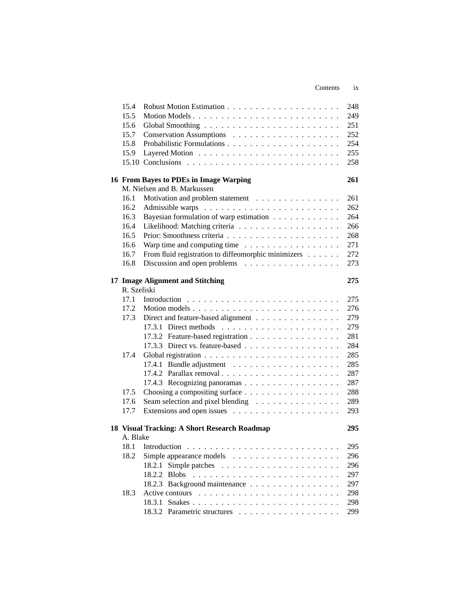|             |                                                                          | Contents | <i>ix</i> |
|-------------|--------------------------------------------------------------------------|----------|-----------|
|             |                                                                          |          |           |
| 15.4        |                                                                          |          | 248       |
| 15.5        | Motion Models                                                            |          | 249       |
| 15.6        |                                                                          |          | 251       |
| 15.7        |                                                                          |          | 252       |
| 15.8        |                                                                          |          | 254       |
| 15.9        |                                                                          |          | 255       |
|             |                                                                          |          | 258       |
|             | 16 From Bayes to PDEs in Image Warping                                   |          | 261       |
|             | M. Nielsen and B. Markussen                                              |          |           |
| 16.1        | Motivation and problem statement                                         |          | 261       |
| 16.2        |                                                                          |          | 262       |
| 16.3        | Bayesian formulation of warp estimation                                  |          | 264       |
| 16.4        |                                                                          |          | 266       |
| 16.5        |                                                                          |          | 268       |
| 16.6        | Warp time and computing time                                             |          | 271       |
| 16.7        | From fluid registration to diffeomorphic minimizers                      |          | 272       |
| 16.8        | Discussion and open problems                                             |          | 273       |
|             |                                                                          |          |           |
|             | 17 Image Alignment and Stitching                                         |          | 275       |
| R. Szeliski |                                                                          |          |           |
| 17.1        |                                                                          |          | 275       |
| 17.2        |                                                                          |          | 276       |
| 17.3        | Direct and feature-based alignment                                       |          | 279       |
|             | 17.3.1 Direct methods $\ldots \ldots \ldots \ldots \ldots \ldots \ldots$ |          | 279       |
|             | 17.3.2 Feature-based registration                                        |          | 281       |
|             | 17.3.3 Direct vs. feature-based                                          |          | 284       |
| 17.4        |                                                                          |          | 285       |
|             |                                                                          |          | 285       |
|             |                                                                          |          | 287       |
|             | 17.4.3 Recognizing panoramas                                             |          | 287       |
| 17.5        |                                                                          |          | 288       |
| 17.6        | Seam selection and pixel blending                                        |          | 289       |
| 17.7        |                                                                          |          | 293       |
|             | 18 Visual Tracking: A Short Research Roadmap                             |          | 295       |
| A. Blake    |                                                                          |          |           |
| 18.1        |                                                                          |          | 295       |
| 18.2        |                                                                          |          | 296       |
|             |                                                                          |          | 296       |
|             | 18.2.2 Blobs                                                             |          | 297       |
|             | 18.2.3 Background maintenance                                            |          | 297       |
| 18.3        |                                                                          |          | 298       |
|             |                                                                          |          | 298       |
|             |                                                                          |          | 299       |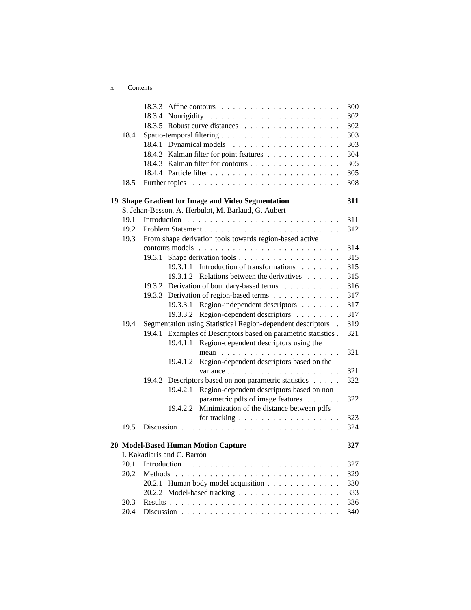| Contents |  |
|----------|--|
|----------|--|

|      |         |                             | 18.3.3 Affine contours $\dots \dots \dots \dots \dots \dots \dots \dots$ | 300 |
|------|---------|-----------------------------|--------------------------------------------------------------------------|-----|
|      |         |                             |                                                                          | 302 |
|      |         |                             | 18.3.5 Robust curve distances                                            | 302 |
| 18.4 |         |                             |                                                                          | 303 |
|      |         |                             |                                                                          | 303 |
|      |         |                             | 18.4.2 Kalman filter for point features                                  | 304 |
|      |         |                             | 18.4.3 Kalman filter for contours                                        | 305 |
|      |         |                             |                                                                          | 305 |
| 18.5 |         |                             |                                                                          | 308 |
|      |         |                             | 19 Shape Gradient for Image and Video Segmentation                       | 311 |
|      |         |                             | S. Jehan-Besson, A. Herbulot, M. Barlaud, G. Aubert                      |     |
| 19.1 |         |                             |                                                                          | 311 |
| 19.2 |         |                             |                                                                          | 312 |
| 19.3 |         |                             | From shape derivation tools towards region-based active                  |     |
|      |         |                             |                                                                          | 314 |
|      |         |                             |                                                                          | 315 |
|      |         |                             | 19.3.1.1 Introduction of transformations                                 | 315 |
|      |         |                             | 19.3.1.2 Relations between the derivatives                               | 315 |
|      |         |                             | 19.3.2 Derivation of boundary-based terms                                | 316 |
|      |         |                             | 19.3.3 Derivation of region-based terms                                  | 317 |
|      |         |                             | 19.3.3.1 Region-independent descriptors                                  | 317 |
|      |         | 19.3.3.2                    | Region-dependent descriptors                                             | 317 |
| 19.4 |         |                             | Segmentation using Statistical Region-dependent descriptors              | 319 |
|      | 19.4.1  |                             | Examples of Descriptors based on parametric statistics.                  | 321 |
|      |         | 19.4.1.1                    | Region-dependent descriptors using the                                   |     |
|      |         |                             |                                                                          | 321 |
|      |         | 19.4.1.2                    | Region-dependent descriptors based on the                                |     |
|      |         |                             | variance                                                                 | 321 |
|      |         |                             | 19.4.2 Descriptors based on non parametric statistics                    | 322 |
|      |         | 19.4.2.1                    | Region-dependent descriptors based on non                                |     |
|      |         |                             | parametric pdfs of image features                                        | 322 |
|      |         | 19.4.2.2                    | Minimization of the distance between pdfs                                |     |
|      |         |                             | for tracking $\ldots \ldots \ldots \ldots \ldots$                        | 323 |
| 19.5 |         |                             |                                                                          | 324 |
|      |         |                             | 20 Model-Based Human Motion Capture                                      | 327 |
|      |         | I. Kakadiaris and C. Barrón |                                                                          |     |
| 20.1 |         |                             |                                                                          | 327 |
| 20.2 | Methods |                             |                                                                          | 329 |
|      |         |                             | 20.2.1 Human body model acquisition                                      | 330 |
|      |         |                             |                                                                          | 333 |
| 20.3 |         |                             |                                                                          | 336 |
| 20.4 |         |                             |                                                                          | 340 |
|      |         |                             |                                                                          |     |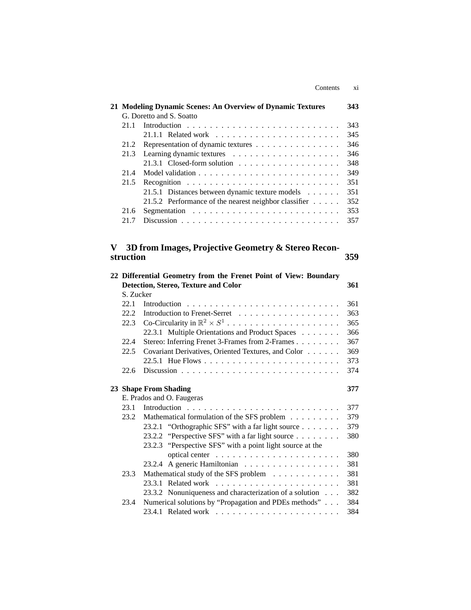| Contents | X1 |
|----------|----|
|          |    |

|           | 21 Modeling Dynamic Scenes: An Overview of Dynamic Textures      | 343 |  |  |
|-----------|------------------------------------------------------------------|-----|--|--|
|           | G. Doretto and S. Soatto                                         |     |  |  |
| 21.1      |                                                                  |     |  |  |
|           |                                                                  |     |  |  |
| 21.2      | Representation of dynamic textures                               |     |  |  |
| 21.3      |                                                                  | 346 |  |  |
|           |                                                                  | 348 |  |  |
| 21.4      |                                                                  | 349 |  |  |
| 21.5      |                                                                  | 351 |  |  |
|           | 21.5.1 Distances between dynamic texture models                  | 351 |  |  |
|           | 21.5.2 Performance of the nearest neighbor classifier            | 352 |  |  |
| 21.6      |                                                                  | 353 |  |  |
| 21.7      |                                                                  | 357 |  |  |
|           |                                                                  |     |  |  |
| V         | 3D from Images, Projective Geometry & Stereo Recon-              |     |  |  |
| struction |                                                                  | 359 |  |  |
|           | 22 Differential Geometry from the Frenet Point of View: Boundary |     |  |  |
|           | Detection, Stereo, Texture and Color                             | 361 |  |  |
| S. Zucker |                                                                  |     |  |  |
| 22.1      |                                                                  | 361 |  |  |
| 22.2      |                                                                  | 363 |  |  |
| 22.3      | Co-Circularity in $\mathbb{R}^2 \times S^1$                      | 365 |  |  |
|           | 22.3.1 Multiple Orientations and Product Spaces                  | 366 |  |  |
| 22.4      | Stereo: Inferring Frenet 3-Frames from 2-Frames                  | 367 |  |  |
| 22.5      | Covariant Derivatives, Oriented Textures, and Color              | 369 |  |  |
|           |                                                                  | 373 |  |  |
| 22.6      |                                                                  | 374 |  |  |
|           |                                                                  |     |  |  |
|           | 23 Shape From Shading                                            | 377 |  |  |
|           | E. Prados and O. Faugeras                                        |     |  |  |
| 23.1      |                                                                  | 377 |  |  |
| 23.2      | Mathematical formulation of the SFS problem                      | 379 |  |  |
|           | "Orthographic SFS" with a far light source<br>23.2.1             | 379 |  |  |
|           | "Perspective SFS" with a far light source<br>23.2.2              | 380 |  |  |
|           | 23.2.3 "Perspective SFS" with a point light source at the        |     |  |  |
|           |                                                                  | 380 |  |  |
|           | 23.2.4 A generic Hamiltonian                                     | 381 |  |  |
| 23.3      | Mathematical study of the SFS problem                            | 381 |  |  |
|           | 23.3.1 Related work                                              | 381 |  |  |
|           | 23.3.2 Nonuniqueness and characterization of a solution          | 382 |  |  |
| 23.4      | Numerical solutions by "Propagation and PDEs methods"            | 384 |  |  |
|           |                                                                  | 384 |  |  |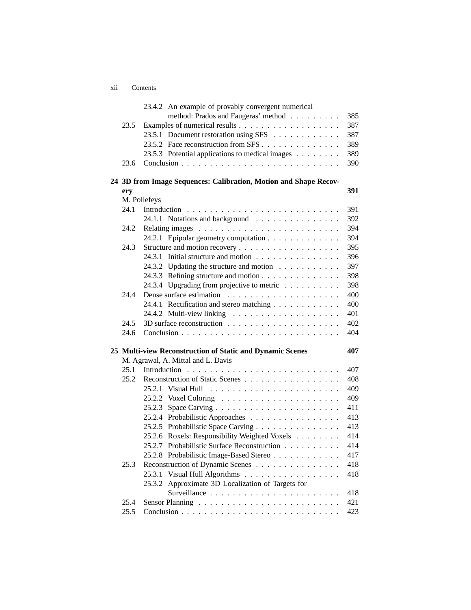xii Contents

|      |              | 23.4.2 An example of provably convergent numerical               |     |
|------|--------------|------------------------------------------------------------------|-----|
|      |              | method: Prados and Faugeras' method                              | 385 |
| 23.5 |              |                                                                  | 387 |
|      |              | 23.5.1 Document restoration using SFS                            | 387 |
|      |              | 23.5.2 Face reconstruction from SFS                              | 389 |
|      |              | 23.5.3 Potential applications to medical images                  | 389 |
| 23.6 |              |                                                                  | 390 |
|      |              | 24 3D from Image Sequences: Calibration, Motion and Shape Recov- |     |
| ery  |              |                                                                  | 391 |
|      | M. Pollefeys |                                                                  |     |
| 24.1 |              |                                                                  | 391 |
|      |              | 24.1.1 Notations and background                                  | 392 |
| 24.2 |              |                                                                  | 394 |
|      |              | 24.2.1 Epipolar geometry computation                             | 394 |
| 24.3 |              |                                                                  | 395 |
|      |              | 24.3.1 Initial structure and motion                              | 396 |
|      |              | 24.3.2 Updating the structure and motion                         | 397 |
|      |              | 24.3.3 Refining structure and motion                             | 398 |
|      |              | 24.3.4 Upgrading from projective to metric                       | 398 |
| 24.4 |              |                                                                  | 400 |
|      |              | 24.4.1 Rectification and stereo matching                         | 400 |
|      |              |                                                                  | 401 |
| 24.5 |              |                                                                  | 402 |
| 24.6 |              |                                                                  | 404 |
|      |              | 25 Multi-view Reconstruction of Static and Dynamic Scenes        | 407 |
|      |              | M. Agrawal, A. Mittal and L. Davis                               |     |
| 25.1 | Introduction |                                                                  | 407 |
| 25.2 |              | Reconstruction of Static Scenes                                  | 408 |
|      |              |                                                                  | 409 |
|      |              |                                                                  | 409 |
|      |              |                                                                  | 411 |
|      |              | 25.2.4 Probabilistic Approaches                                  | 413 |
|      |              | 25.2.5 Probabilistic Space Carving                               | 413 |
|      |              | 25.2.6 Roxels: Responsibility Weighted Voxels                    | 414 |
|      |              | 25.2.7 Probabilistic Surface Reconstruction                      | 414 |
|      |              | 25.2.8 Probabilistic Image-Based Stereo                          | 417 |
| 25.3 |              | Reconstruction of Dynamic Scenes                                 | 418 |
|      |              | 25.3.1 Visual Hull Algorithms                                    | 418 |
|      | 25.3.2       | Approximate 3D Localization of Targets for                       |     |
|      |              |                                                                  | 418 |
| 25.4 |              |                                                                  | 421 |
| 25.5 |              |                                                                  | 423 |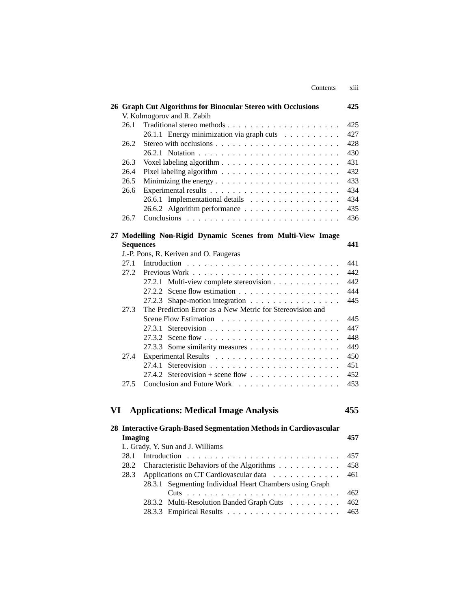|    |                  | Contents                                                                                   | xiii            |
|----|------------------|--------------------------------------------------------------------------------------------|-----------------|
|    |                  | 26 Graph Cut Algorithms for Binocular Stereo with Occlusions<br>V. Kolmogorov and R. Zabih | 425             |
|    | 26.1             |                                                                                            | 425             |
|    |                  | 26.1.1 Energy minimization via graph cuts                                                  | 427             |
|    | 26.2             |                                                                                            | 428             |
|    |                  |                                                                                            | 430             |
|    | 26.3             |                                                                                            | 431             |
|    | 26.4             |                                                                                            | 432             |
|    | 26.5             |                                                                                            | 433             |
|    | 26.6             |                                                                                            | 434             |
|    |                  | 26.6.1 Implementational details                                                            | 434             |
|    |                  | 26.6.2 Algorithm performance                                                               | 435             |
|    | 26.7             |                                                                                            | 436             |
|    |                  |                                                                                            |                 |
|    |                  | 27 Modelling Non-Rigid Dynamic Scenes from Multi-View Image                                |                 |
|    | <b>Sequences</b> |                                                                                            | 441             |
|    |                  | J.-P. Pons, R. Keriven and O. Faugeras                                                     |                 |
|    | 27.1             |                                                                                            | 441             |
|    | 27.2             |                                                                                            | 442             |
|    |                  | 27.2.1 Multi-view complete stereovision                                                    | 442             |
|    |                  |                                                                                            | 444             |
|    |                  | 27.2.3 Shape-motion integration                                                            | 445             |
|    | 27.3             | The Prediction Error as a New Metric for Stereovision and                                  |                 |
|    |                  |                                                                                            | 445             |
|    |                  |                                                                                            | 447             |
|    |                  |                                                                                            | 448             |
|    |                  | 27.3.3 Some similarity measures                                                            | 449             |
|    | 27.4             |                                                                                            | 450             |
|    |                  | 27.4.1                                                                                     | 451             |
|    |                  |                                                                                            | 452             |
|    | 27.5             |                                                                                            | 453             |
|    |                  |                                                                                            |                 |
|    |                  |                                                                                            |                 |
| VI |                  | <b>Applications: Medical Image Analysis</b>                                                | 455             |
|    |                  | 28 Interactive Graph-Based Segmentation Methods in Cardiovascular                          |                 |
|    | <b>Imaging</b>   |                                                                                            | 457             |
|    |                  | L. Grady, Y. Sun and J. Williams                                                           |                 |
|    | 28.1             |                                                                                            | 457             |
|    |                  | 28.2. Characteristic Pohoviers of the Algorithms                                           | $A \subseteq Q$ |

| Imaging<br>457 |                                                         |  |  |  |
|----------------|---------------------------------------------------------|--|--|--|
|                | L. Grady, Y. Sun and J. Williams                        |  |  |  |
|                |                                                         |  |  |  |
|                | 28.2 Characteristic Behaviors of the Algorithms 458     |  |  |  |
|                | 28.3 Applications on CT Cardiovascular data 461         |  |  |  |
|                | 28.3.1 Segmenting Individual Heart Chambers using Graph |  |  |  |
|                |                                                         |  |  |  |
|                | 28.3.2 Multi-Resolution Banded Graph Cuts 462           |  |  |  |
|                |                                                         |  |  |  |
|                |                                                         |  |  |  |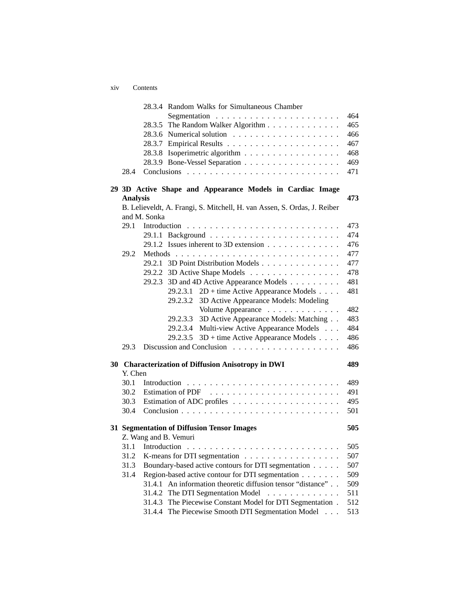xiv Contents

|           |                                                        | 28.3.4 Random Walks for Simultaneous Chamber                             |     |
|-----------|--------------------------------------------------------|--------------------------------------------------------------------------|-----|
|           |                                                        |                                                                          | 464 |
|           |                                                        | The Random Walker Algorithm<br>28.3.5                                    | 465 |
|           |                                                        |                                                                          | 466 |
|           |                                                        | 28.3.7                                                                   | 467 |
|           |                                                        | Isoperimetric algorithm<br>28.3.8                                        | 468 |
|           |                                                        | 28.3.9 Bone-Vessel Separation                                            | 469 |
|           | 28.4                                                   |                                                                          | 471 |
|           |                                                        | 29 3D Active Shape and Appearance Models in Cardiac Image                |     |
|           | <b>Analysis</b>                                        |                                                                          | 473 |
|           |                                                        | B. Lelieveldt, A. Frangi, S. Mitchell, H. van Assen, S. Ordas, J. Reiber |     |
|           |                                                        | and M. Sonka                                                             |     |
|           | 29.1                                                   |                                                                          | 473 |
|           |                                                        |                                                                          | 474 |
|           |                                                        | 29.1.2 Issues inherent to 3D extension                                   | 476 |
|           | 29.2                                                   |                                                                          | 477 |
|           |                                                        | 29.2.1 3D Point Distribution Models                                      | 477 |
|           |                                                        | 29.2.2 3D Active Shape Models                                            | 478 |
|           |                                                        | 3D and 4D Active Appearance Models<br>29.2.3                             | 481 |
|           |                                                        | $2D +$ time Active Appearance Models<br>29.2.3.1                         | 481 |
|           |                                                        | 3D Active Appearance Models: Modeling<br>29.2.3.2                        |     |
|           |                                                        | Volume Appearance                                                        | 482 |
|           |                                                        | 3D Active Appearance Models: Matching<br>29.2.3.3                        | 483 |
|           |                                                        | Multi-view Active Appearance Models<br>29.2.3.4                          | 484 |
|           |                                                        | $3D +$ time Active Appearance Models<br>29.2.3.5                         | 486 |
|           | 29.3                                                   |                                                                          | 486 |
| <b>30</b> | <b>Characterization of Diffusion Anisotropy in DWI</b> |                                                                          |     |
|           | Y. Chen                                                |                                                                          |     |
|           | 30.1                                                   |                                                                          | 489 |
|           | 30.2                                                   |                                                                          | 491 |
|           | 30.3                                                   |                                                                          | 495 |
|           | 30.4                                                   |                                                                          | 501 |
|           |                                                        | 31 Segmentation of Diffusion Tensor Images                               | 505 |
|           |                                                        | Z. Wang and B. Vemuri                                                    |     |
|           |                                                        | 31.1 Introduction                                                        | 505 |
|           | 31.2                                                   | K-means for DTI segmentation                                             | 507 |
|           | 31.3                                                   | Boundary-based active contours for DTI segmentation                      | 507 |
|           | 31.4                                                   | Region-based active contour for DTI segmentation                         | 509 |
|           |                                                        | An information theoretic diffusion tensor "distance"<br>31.4.1           | 509 |
|           |                                                        | The DTI Segmentation Model<br>31.4.2<br>.                                | 511 |
|           |                                                        | The Piecewise Constant Model for DTI Segmentation.<br>31.4.3             | 512 |
|           |                                                        | The Piecewise Smooth DTI Segmentation Model<br>31.4.4                    | 513 |